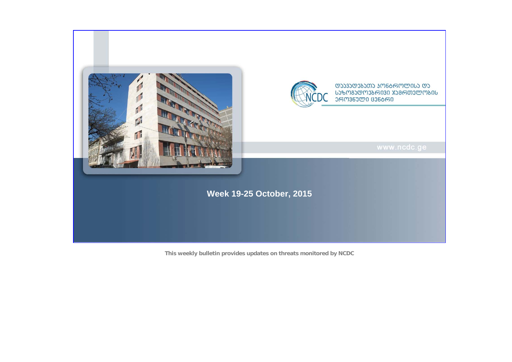

**This weekly bulletin provides updates on threats monitored by NCDC**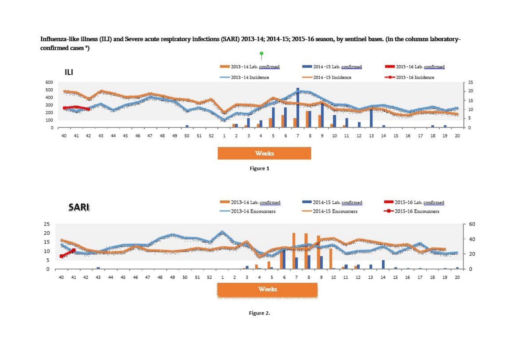**Manual** 2013-14 Lab. confirmed 8 2014 -15 Lab. confirmed 2015 - 16 Lab. confirmed Ш  $-$  2013 - 14 Incidence  $-2014 - 15$  Incidence  $-2015 - 16$  Incidence  $\overline{0}$  $^{\circ}$  0  $\mathbf{g}$  $\overline{9}$  $\Lambda$ 9  $\overline{2}$  $\overline{3}$  $\Delta$  $\overline{7}$ **Weeks** Figure 1 2013-14 Lab. confirmed **Bullet** 2014-15 Lab. confirmed 2015-16 Lab. confirmed **SARL**  $-2013-14$  Encounters 2014-15 Encounters  $-$ 0 $-$ 2015-16 Encounters a de coma a  $\circ$  $\overline{0}$  $\overline{7}$ 11 12  $\overline{2}$  $\overline{4}$ **Weeks** 

Influenza-like illness (ILI) and Severe acute respiratory infections (SARI) 2013-14; 2014-15; 2015-16 season, by sentinel bases. (in the columns laboratoryconfirmed cases \*)

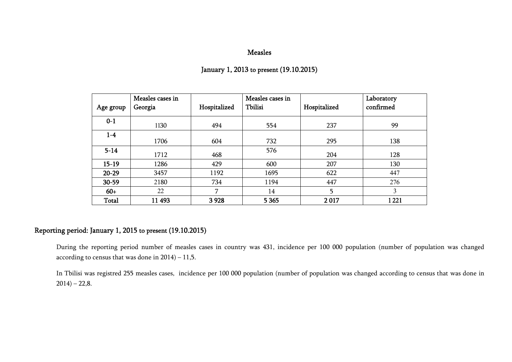#### Measles

| Age group    | Measles cases in<br>Georgia | Hospitalized | Measles cases in<br>Tbilisi | Hospitalized | Laboratory<br>confirmed |
|--------------|-----------------------------|--------------|-----------------------------|--------------|-------------------------|
| $0-1$        | 1130                        | 494          | 554                         | 237          | 99                      |
| $1-4$        | 1706                        | 604          | 732                         | 295          | 138                     |
| $5 - 14$     | 1712                        | 468          | 576                         | 204          | 128                     |
| $15-19$      | 1286                        | 429          | 600                         | 207          | 130                     |
| $20 - 29$    | 3457                        | 1192         | 1695                        | 622          | 447                     |
| 30-59        | 2180                        | 734          | 1194                        | 447          | 276                     |
| $60+$        | 22                          | 7            | 14                          | 5            | 3                       |
| <b>Total</b> | 11 493                      | 3928         | 5 3 6 5                     | 2017         | 1221                    |

# January 1, 2013 to present (19.10.2015)

# Reporting period: January 1, 2015 to present (19.10.2015)

During the reporting period number of measles cases in country was 431, incidence per 100 000 population (number of population was changed according to census that was done in 2014) – 11,5.

In Tbilisi was registred 255 measles cases, incidence per 100 000 population (number of population was changed according to census that was done in  $2014$ ) – 22,8.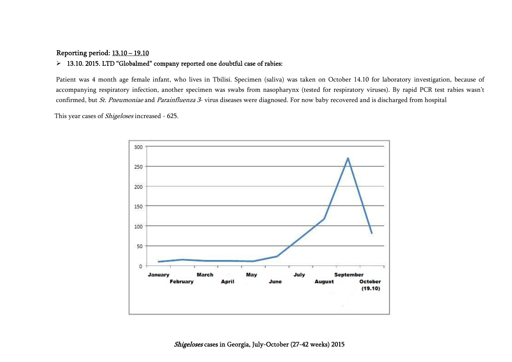## Reporting period: 13.10 – 19.10

## 13.10. 2015. LTD "Globalmed" company reported one doubtful case of rabies:

Patient was 4 month age female infant, who lives in Tbilisi. Specimen (saliva) was taken on October 14.10 for laboratory investigation, because of accompanying respiratory infection, another specimen was swabs from nasopharynx (tested for respiratory viruses). By rapid PCR test rabies wasn't confirmed, but *St. Pneumoniae* and *Parainfluenza 3*- virus diseases were diagnosed. For now baby recovered and is discharged from hospital

This year cases of *Shigeloses* increased - 625.